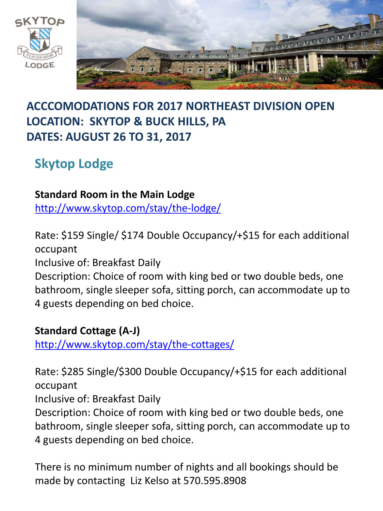



## **ACCCOMODATIONS FOR 2017 NORTHEAST DIVISION OPEN LOCATION: SKYTOP & BUCK HILLS, PA DATES: AUGUST 26 TO 31, 2017**

# **Skytop Lodge**

### **Standard Room in the Main Lodge**

<http://www.skytop.com/stay/the-lodge/>

Rate: \$159 Single/ \$174 Double Occupancy/+\$15 for each additional occupant

Inclusive of: Breakfast Daily

Description: Choice of room with king bed or two double beds, one bathroom, single sleeper sofa, sitting porch, can accommodate up to 4 guests depending on bed choice.

**Standard Cottage (A-J)**

<http://www.skytop.com/stay/the-cottages/>

Rate: \$285 Single/\$300 Double Occupancy/+\$15 for each additional occupant

Inclusive of: Breakfast Daily

Description: Choice of room with king bed or two double beds, one bathroom, single sleeper sofa, sitting porch, can accommodate up to 4 guests depending on bed choice.

There is no minimum number of nights and all bookings should be made by contacting Liz Kelso at 570.595.8908